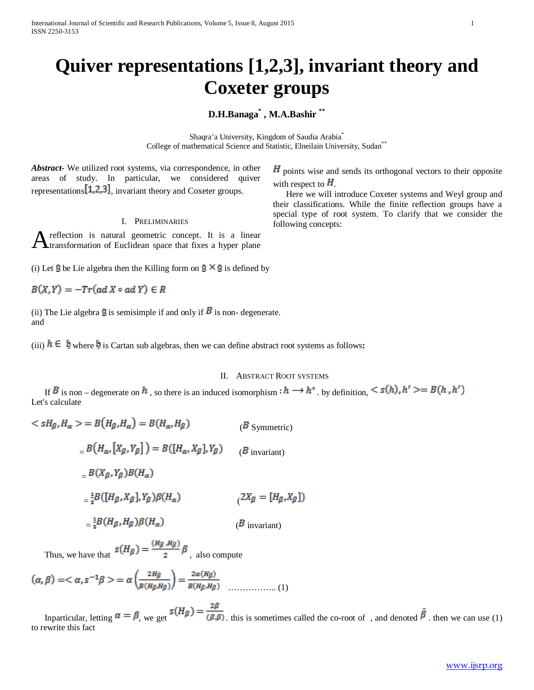# **Quiver representations [1,2,3], invariant theory and Coxeter groups**

# **D.H.Banaga\* , M.A.Bashir \*\***

Shaqra'a University, Kingdom of Saudia Arabia\* College of mathematical Science and Statistic, Elneilain University, Sudan<sup>\*\*</sup>

*Abstract***-** We utilized root systems, via correspondence, in other areas of study. In particular, we considered quiver representations  $[1,2,3]$ , invariant theory and Coxeter groups.

# I. PRELIMINARIES

reflection is natural geometric concept. It is a linear A reflection is natural geometric concept. It is a linear transformation of Euclidean space that fixes a hyper plane

(i) Let  $\mathbf{\mathfrak{g}}$  be Lie algebra then the Killing form on  $\mathbf{\mathfrak{g}} \times \mathbf{\mathfrak{g}}$  is defined by

 $B(X,Y) = -Tr(ad X \circ ad Y) \in R$ 

(ii) The Lie algebra  $\mathbf{\mathfrak{g}}$  is semisimple if and only if  $\mathbf{\mathfrak{B}}$  is non-degenerate. and

(iii)  $h \in \mathfrak{h}$  where  $\mathfrak{h}$  is Cartan sub algebras, then we can define abstract root systems as follows:

#### II. ABSTRACT ROOT SYSTEMS

If B is non – degenerate on  $h$ , so there is an induced isomorphism :  $h \to h^*$ , by definition,  $\lt s(h)$ ,  $h' \gt h(B(h, h')$ Let's calculate

$$
\langle sH_{\beta}, H_{\alpha} \rangle = B(H_{\beta}, H_{\alpha}) = B(H_{\alpha}, H_{\beta}) \qquad (B \text{ Symmetric})
$$
  
\n
$$
= B(H_{\alpha}, [X_{\beta}, Y_{\beta}]) = B([H_{\alpha}, X_{\beta}], Y_{\beta}) \qquad (B \text{ invariant})
$$
  
\n
$$
= B(X_{\beta}, Y_{\beta})B(H_{\alpha}) \qquad (B \text{ invariant})
$$
  
\n
$$
= \frac{1}{2}B([H_{\beta}, X_{\beta}], Y_{\beta})\beta(H_{\alpha}) \qquad (2X_{\beta} = [H_{\beta}, X_{\beta}])
$$
  
\n
$$
= \frac{1}{2}B(H_{\beta}, H_{\beta})\beta(H_{\alpha}) \qquad (B \text{ invariant})
$$

Thus, we have that  $s(H_\beta) = \frac{(H_\beta, H_\beta)}{2} \beta$ , also compute

…………….. (1)

Inparticular, letting  $\alpha = \beta$ , we get  $s(H_\beta) = \frac{2\beta}{(\beta, \beta)}$ . this is sometimes called the co-root of, and denoted  $\tilde{\beta}$ . then we can use (1) to rewrite this fact

 $H$  points wise and sends its orthogonal vectors to their opposite with respect to  $H$ .

 Here we will introduce Coxeter systems and Weyl group and their classifications. While the finite reflection groups have a special type of root system. To clarify that we consider the following concepts: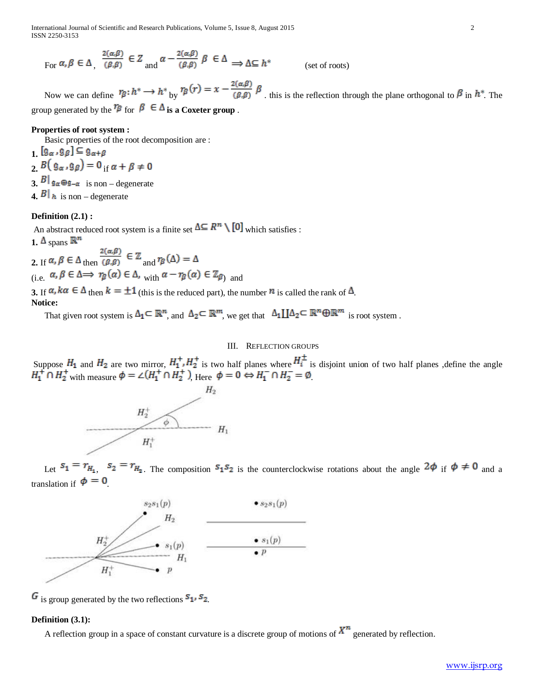International Journal of Scientific and Research Publications, Volume 5, Issue 8, August 2015 2 ISSN 2250-3153

$$
\operatorname{For} \alpha, \beta \in \Delta, \ \frac{2(\alpha, \beta)}{(\beta, \beta)} \in Z_{\text{and}} \alpha - \frac{2(\alpha, \beta)}{(\beta, \beta)} \beta \in \Delta \implies \Delta \subseteq h^* \tag{set of roots}
$$

Now we can define  $r_B: h^* \to h^*$  by  $r_B(r) = x - \frac{2(\alpha, \beta)}{(\beta, \beta)} \beta$ . this is the reflection through the plane orthogonal to  $\beta$  in  $h^*$ . The group generated by the  $\mathbb{F}_{\beta}$  for  $\beta \in \Delta$  is a Coxeter group.

# **Properties of root system :**

Basic properties of the root decomposition are :

**1.**  $[g_{\alpha}, g_{\beta}] \subseteq g_{\alpha+\beta}$ 2.  $B(g_{\alpha}, g_{\beta}) = 0$  if  $\alpha + \beta \neq 0$ **3.**  $B\|_{\mathbf{g}_{\alpha} \oplus \mathbf{g}_{-\alpha}}$  is non – degenerate **4.**  $\mathbf{B}$   $\parallel$ **h** is non – degenerate

# **Definition (2.1) :**

An abstract reduced root system is a finite set  $\Delta \subseteq R^n \setminus [0]$  which satisfies : 1.  $\Delta$  spans  $\mathbb{R}^n$ 

2. If  $\alpha, \beta \in \Delta$  then  $\frac{2(\alpha, \beta)}{(\beta, \beta)} \in \mathbb{Z}$  and  $r_{\beta}(\Delta) = \Delta$  $\tau_{\beta}$  a<sub>n</sub> $\beta \in \Delta \implies \tau_{\beta}(\alpha) \in \Delta$ ,  $\tau_{\beta}(\alpha) \in \mathbb{Z}_{\beta}$  and

**3.** If  $\alpha, k\alpha \in \Delta$  then  $k = \pm 1$  (this is the reduced part), the number  $\alpha$  is called the rank of  $\Delta$ . **Notice:** 

That given root system is  $\Delta_1 \subset \mathbb{R}^n$ , and  $\Delta_2 \subset \mathbb{R}^m$ , we get that  $\Delta_1 \coprod \Delta_2 \subset \mathbb{R}^n \oplus \mathbb{R}^m$  is root system.

# III. REFLECTION GROUPS

Suppose  $H_1$  and  $H_2$  are two mirror,  $H_1 H_2$  is two half planes where  $H_i$  is disjoint union of two half planes ,define the angle with measure  $\varphi = \angle (H_1 \cap H_2)$ , Here  $\varphi = 0 \Leftrightarrow H_1 \cap H_2 = \varphi$ .



Let  $s_1 = r_{H_1}$ ,  $s_2 = r_{H_2}$ . The composition  $s_1 s_2$  is the counterclockwise rotations about the angle  $2\phi$  if  $\phi \neq 0$  and a translation if  $\phi = 0$ 



 $\mathbf{G}$  is group generated by the two reflections  $\mathbf{S}_1$ ,  $\mathbf{S}_2$ .

# **Definition (3.1):**

A reflection group in a space of constant curvature is a discrete group of motions of  $\mathbf{X}^n$  generated by reflection.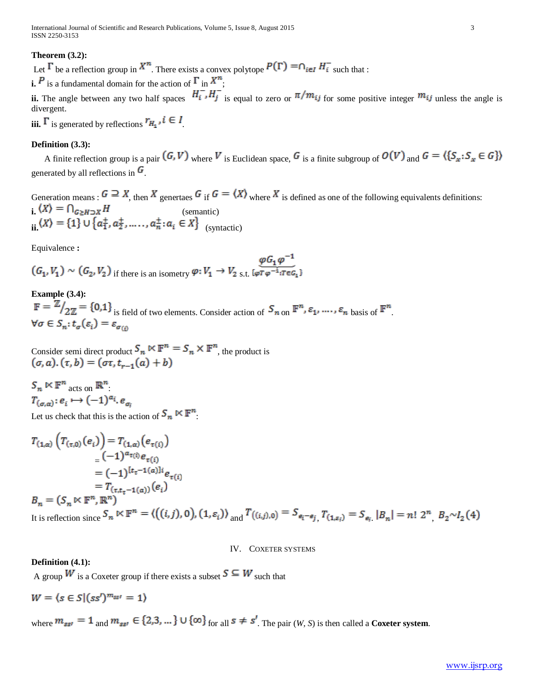International Journal of Scientific and Research Publications, Volume 5, Issue 8, August 2015 3 ISSN 2250-3153

# **Theorem (3.2):**

Let  $\Gamma$  be a reflection group in  $\mathbb{X}^n$ . There exists a convex polytope  $P(\Gamma) = \cap_{i \in I} H_i^-$  such that :

**i.**  $\mathbf{P}$  is a fundamental domain for the action of  $\mathbf{\Gamma}$  in  $\mathbf{X}^n$ .

**ii.** The angle between any two half spaces  $H_{i}$ ,  $H_{j}$  is equal to zero or  $\pi/m_{ij}$  for some positive integer  $m_{ij}$  unless the angle is divergent.

**iii.**  $\Gamma$  is generated by reflections  $r_{H_1}$ ,  $i \in I$ 

# **Definition (3.3):**

A finite reflection group is a pair  $(G, V)$  where V is Euclidean space, G is a finite subgroup of  $O(V)$  and  $G = \{\{S_x : S_x \in G\}\}\$ generated by all reflections in  $\mathbf{G}$ .

Generation means :  $G \supseteq X$ , then X genertaes  $G$  if  $G = \langle X \rangle$  where X is defined as one of the following equivalents definitions: **i.**  $\{M\} = \prod_{\mathbf{G} \geq \mathbf{H} \supseteq \mathbf{X}} \mathbf{n}$  (semantic) ii.  $\mathbf{u}_1 = \mathbf{u}_1 \cup \mathbf{u}_2 \cup \mathbf{u}_3 \cup \mathbf{u}_n \cup \mathbf{u}_i \cup \mathbf{u}_j$  (syntactic)

Equivalence **:**

$$
(G_1, V_1) \sim (G_2, V_2) \text{ if there is an isometry } \varphi: V_1 \to V_2 \text{ s.t. } \{\varphi T \varphi^{-1} \colon T \in \mathcal{C}_1\}
$$

**Example (3.4):**   $\mathbb{F} = \mathbb{Z}/2\mathbb{Z} = \{0,1\}$  is field of two elements. Consider action of  $S_n$  on  $\mathbb{F}^n$ ,  $\varepsilon_1$ , ...,  $\varepsilon_n$  basis of  $\mathbb{F}^n$ .<br>  $\forall \sigma \in S_n$ :  $t_\sigma(\varepsilon_i) = \varepsilon_{\sigma(i)}$ 

Consider semi direct product  $S_n \ltimes \mathbb{F}^n = S_n \times \mathbb{F}^n$ , the product is  $(\sigma, a)$ .  $(\tau, b) = (\sigma \tau, t_{n-1}(a) + b)$ 

 $S_n \ltimes \mathbb{F}^n$  acts on  $\mathbb{R}^n$ .  $T_{(\sigma,\alpha)}:e_i\mapsto (-1)^{\alpha_i}.e_{\sigma_i}$ 

Let us check that this is the action of  $S_n \ltimes \mathbb{F}^n$ .

$$
T_{(1,\alpha)} (T_{(\tau,0)}(e_i)) = T_{(1,\alpha)}(e_{\tau(i)})
$$
  
\n
$$
= (-1)^{a_{\tau(i)}} e_{\tau(i)}
$$
  
\n
$$
= (-1)^{[t_{\tau}-1(\alpha)]i} e_{\tau(i)}
$$
  
\n
$$
= T_{(\tau,t_{\tau}-1(\alpha))}(e_i)
$$
  
\n
$$
B_n = (S_n \ltimes \mathbb{F}^n, \mathbb{R}^n)
$$
  
\nIt is reflection since  $S_n \ltimes \mathbb{F}^n = \langle ((i,j),0), (1,\varepsilon_i) \rangle$  and  $T_{((i,j),0)} = S_{e_i-e_j}, T_{(1,\varepsilon_i)} = S_{e_i} | B_n | = n! 2^n B_2 \sim I_2(4)$ 

## IV. COXETER SYSTEMS

# **Definition (4.1):**

J.

A group W is a Coxeter group if there exists a subset  $S \subseteq W$  such that

$$
W = \langle s \in S | (ss')^{m_{\text{SS'}}} = 1 \rangle
$$

where  $m_{\text{ggf}} = 1$  and  $m_{\text{ggf}} \in \{2.3, ...\}$  U  $\{\infty\}$  for all  $s \neq s'$ . The pair (*W, S*) is then called a **Coxeter system**.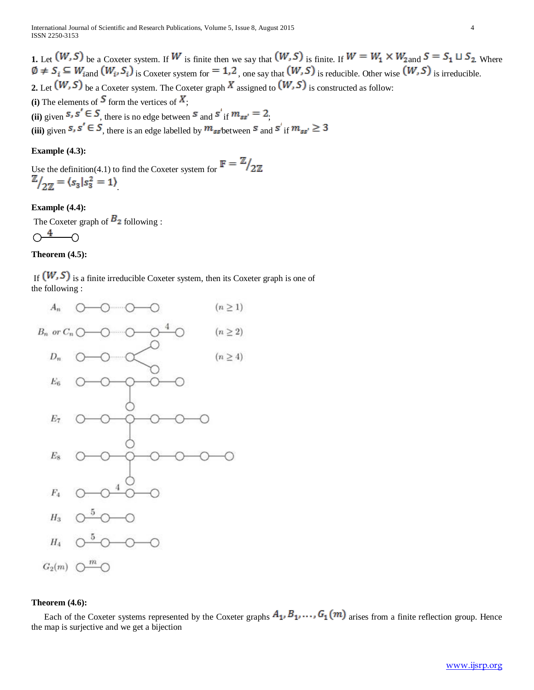**1.** Let  $(W, S)$  be a Coxeter system. If W is finite then we say that  $(W, S)$  is finite. If  $W = W_1 \times W_2$  and  $S = S_1 \sqcup S_2$ . Where  $\emptyset \neq S_i \subseteq W_{i}$  and  $(W_i, S_i)$  is Coxeter system for  $= 1, 2$ , one say that  $(W, S)$  is reducible. Other wise  $(W, S)$  is irreducible. **2.** Let  $(W, S)$  be a Coxeter system. The Coxeter graph  $X$  assigned to  $(W, S)$  is constructed as follow: (i) The elements of  $\mathcal{S}$  form the vertices of  $\mathcal{X}$ ; (ii) given  $s_s s' \in S$ , there is no edge between  $s$  and  $s'$  if  $m_{ss'} = 2$ . (iii) given  $s_s s' \in S$ , there is an edge labelled by  $m_{ss'}$  between  $s$  and  $s'$  if  $m_{ss'} \geq 3$ 

# **Example (4.3):**

Use the definition(4.1) to find the Coxeter system for  $\mathbb{F} = \mathbb{Z}/2\mathbb{Z}$  $\mathbb{Z}_{7\sqrt{2}} = \langle s_3 | s_3^2 = 1 \rangle$ 

# **Example (4.4):**

The Coxeter graph of  $\mathbf{B}_2$  following :

$$
\circ \hspace{-5pt} \dashrightarrow^{\hspace{-5pt} \text{\tiny 4}}
$$

# **Theorem (4.5):**

If  $(W, S)$  is a finite irreducible Coxeter system, then its Coxeter graph is one of the following :



# **Theorem (4.6):**

Each of the Coxeter systems represented by the Coxeter graphs  $A_1, B_1, \ldots, G_1(m)$  arises from a finite reflection group. Hence the map is surjective and we get a bijection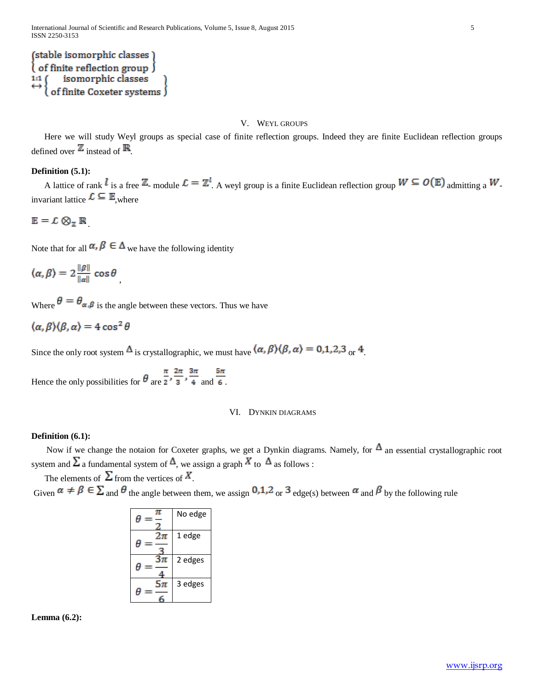# (stable isomorphic classes) { of finite reflection group }<br>1:1 { isomorphic classes  $\overset{\text{1:1}}{\longleftrightarrow} \left\{$ (of finite Coxeter systems)

### V. WEYL GROUPS

 Here we will study Weyl groups as special case of finite reflection groups. Indeed they are finite Euclidean reflection groups defined over  $\mathbb Z$  instead of  $\mathbb R$ .

# **Definition (5.1):**

A lattice of rank  $l$  is a free  $\mathbb{Z}_-$  module  $\mathcal{L} = \mathbb{Z}^l$ . A weyl group is a finite Euclidean reflection group  $W \subseteq O(\mathbb{E})$  admitting a  $W$ . invariant lattice  $\mathcal{L} \subseteq \mathbb{E}_{\text{where}}$ 

$$
\mathbb{E} = \mathcal{L} \otimes_{\mathbb{Z}} \mathbb{R}
$$

Note that for all  $\alpha, \beta \in \Delta$  we have the following identity

$$
\langle \alpha, \beta \rangle = 2 \frac{\|\beta\|}{\|\alpha\|} \cos \theta
$$

Where  $\theta = \theta_{\alpha,\beta}$  is the angle between these vectors. Thus we have

 $\langle \alpha, \beta \rangle$  $\langle \beta, \alpha \rangle = 4 \cos^2 \theta$ 

Since the only root system  $\Delta$  is crystallographic, we must have  $\langle \alpha, \beta \rangle$   $\langle \beta, \alpha \rangle = 0, 1, 2, 3$  or 4.

Hence the only possibilities for  $\theta$  are  $\frac{\pi}{2}, \frac{2\pi}{3}, \frac{3\pi}{4}$  and  $\frac{5\pi}{6}$ .

# VI. DYNKIN DIAGRAMS

## **Definition (6.1):**

Now if we change the notaion for Coxeter graphs, we get a Dynkin diagrams. Namely, for  $\Delta$  an essential crystallographic root system and  $\Sigma$  a fundamental system of  $\Delta$ , we assign a graph  $X$  to  $\Delta$  as follows :

The elements of  $\Sigma$  from the vertices of  $\overline{X}$ .

Given  $\alpha \neq \beta \in \sum$  and  $\theta$  the angle between them, we assign  $0.1.2$  or  $3$  edge(s) between  $\alpha$  and  $\beta$  by the following rule

|       | No edge |
|-------|---------|
| 2. TE | 1 edge  |
|       | 2 edges |
|       | 3 edges |

**Lemma (6.2):**